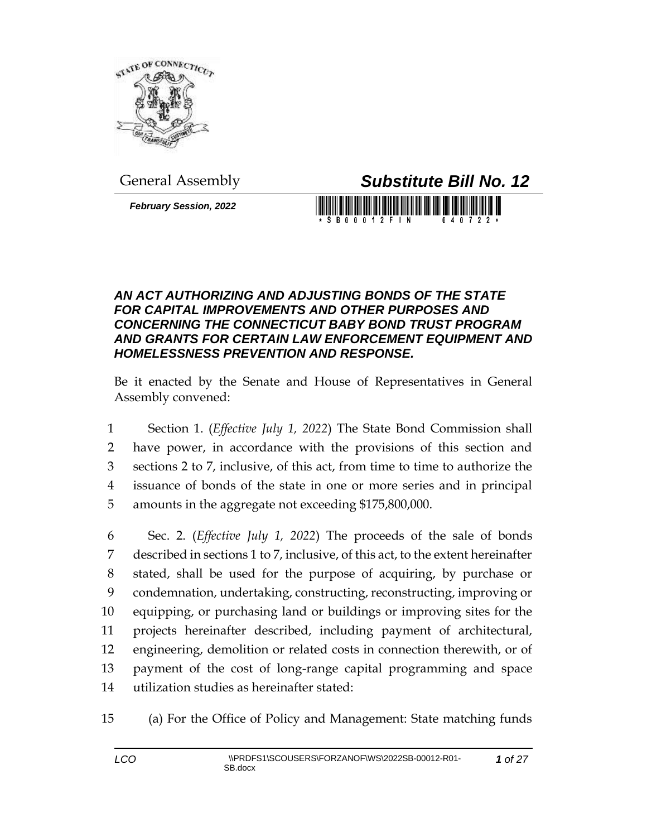

*February Session, 2022*

General Assembly *Substitute Bill No. 12*

**SB00012FIN** 

## *AN ACT AUTHORIZING AND ADJUSTING BONDS OF THE STATE FOR CAPITAL IMPROVEMENTS AND OTHER PURPOSES AND CONCERNING THE CONNECTICUT BABY BOND TRUST PROGRAM AND GRANTS FOR CERTAIN LAW ENFORCEMENT EQUIPMENT AND HOMELESSNESS PREVENTION AND RESPONSE.*

Be it enacted by the Senate and House of Representatives in General Assembly convened:

 Section 1. (*Effective July 1, 2022*) The State Bond Commission shall have power, in accordance with the provisions of this section and sections 2 to 7, inclusive, of this act, from time to time to authorize the issuance of bonds of the state in one or more series and in principal amounts in the aggregate not exceeding \$175,800,000.

 Sec. 2. (*Effective July 1, 2022*) The proceeds of the sale of bonds described in sections 1 to 7, inclusive, of this act, to the extent hereinafter stated, shall be used for the purpose of acquiring, by purchase or condemnation, undertaking, constructing, reconstructing, improving or equipping, or purchasing land or buildings or improving sites for the projects hereinafter described, including payment of architectural, engineering, demolition or related costs in connection therewith, or of payment of the cost of long-range capital programming and space utilization studies as hereinafter stated:

15 (a) For the Office of Policy and Management: State matching funds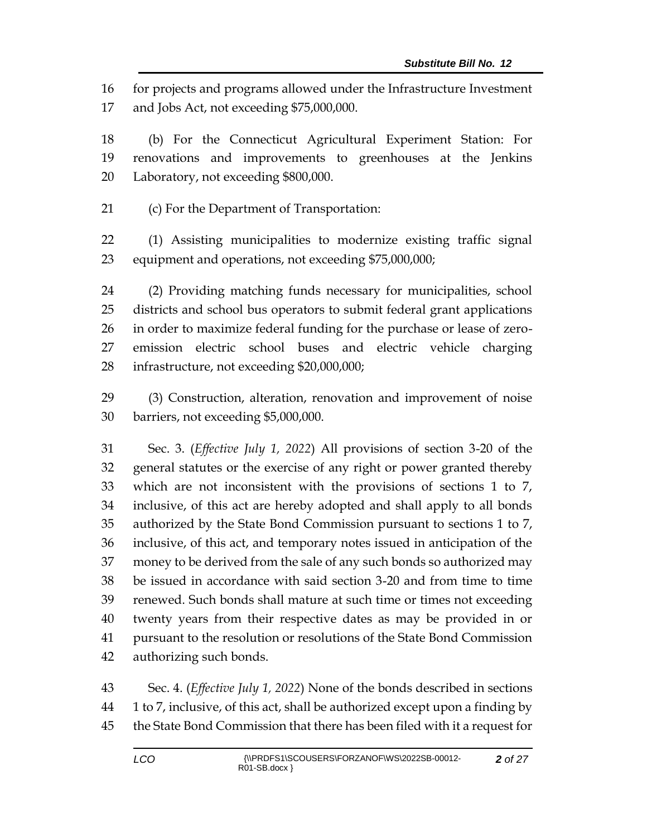for projects and programs allowed under the Infrastructure Investment and Jobs Act, not exceeding \$75,000,000.

 (b) For the Connecticut Agricultural Experiment Station: For renovations and improvements to greenhouses at the Jenkins Laboratory, not exceeding \$800,000.

(c) For the Department of Transportation:

 (1) Assisting municipalities to modernize existing traffic signal equipment and operations, not exceeding \$75,000,000;

 (2) Providing matching funds necessary for municipalities, school districts and school bus operators to submit federal grant applications in order to maximize federal funding for the purchase or lease of zero- emission electric school buses and electric vehicle charging infrastructure, not exceeding \$20,000,000;

 (3) Construction, alteration, renovation and improvement of noise barriers, not exceeding \$5,000,000.

 Sec. 3. (*Effective July 1, 2022*) All provisions of section 3-20 of the general statutes or the exercise of any right or power granted thereby which are not inconsistent with the provisions of sections 1 to 7, inclusive, of this act are hereby adopted and shall apply to all bonds authorized by the State Bond Commission pursuant to sections 1 to 7, inclusive, of this act, and temporary notes issued in anticipation of the money to be derived from the sale of any such bonds so authorized may be issued in accordance with said section 3-20 and from time to time renewed. Such bonds shall mature at such time or times not exceeding twenty years from their respective dates as may be provided in or pursuant to the resolution or resolutions of the State Bond Commission authorizing such bonds.

 Sec. 4. (*Effective July 1, 2022*) None of the bonds described in sections 1 to 7, inclusive, of this act, shall be authorized except upon a finding by the State Bond Commission that there has been filed with it a request for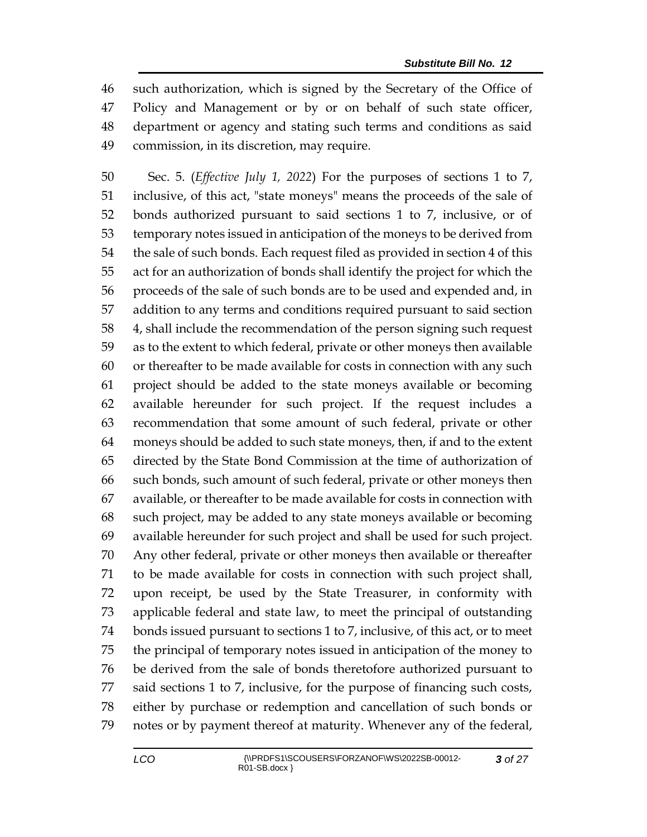such authorization, which is signed by the Secretary of the Office of Policy and Management or by or on behalf of such state officer, department or agency and stating such terms and conditions as said commission, in its discretion, may require.

 Sec. 5. (*Effective July 1, 2022*) For the purposes of sections 1 to 7, inclusive, of this act, "state moneys" means the proceeds of the sale of bonds authorized pursuant to said sections 1 to 7, inclusive, or of temporary notes issued in anticipation of the moneys to be derived from the sale of such bonds. Each request filed as provided in section 4 of this act for an authorization of bonds shall identify the project for which the proceeds of the sale of such bonds are to be used and expended and, in addition to any terms and conditions required pursuant to said section 4, shall include the recommendation of the person signing such request as to the extent to which federal, private or other moneys then available or thereafter to be made available for costs in connection with any such project should be added to the state moneys available or becoming available hereunder for such project. If the request includes a recommendation that some amount of such federal, private or other moneys should be added to such state moneys, then, if and to the extent directed by the State Bond Commission at the time of authorization of such bonds, such amount of such federal, private or other moneys then available, or thereafter to be made available for costs in connection with such project, may be added to any state moneys available or becoming available hereunder for such project and shall be used for such project. Any other federal, private or other moneys then available or thereafter to be made available for costs in connection with such project shall, upon receipt, be used by the State Treasurer, in conformity with applicable federal and state law, to meet the principal of outstanding bonds issued pursuant to sections 1 to 7, inclusive, of this act, or to meet the principal of temporary notes issued in anticipation of the money to be derived from the sale of bonds theretofore authorized pursuant to said sections 1 to 7, inclusive, for the purpose of financing such costs, either by purchase or redemption and cancellation of such bonds or notes or by payment thereof at maturity. Whenever any of the federal,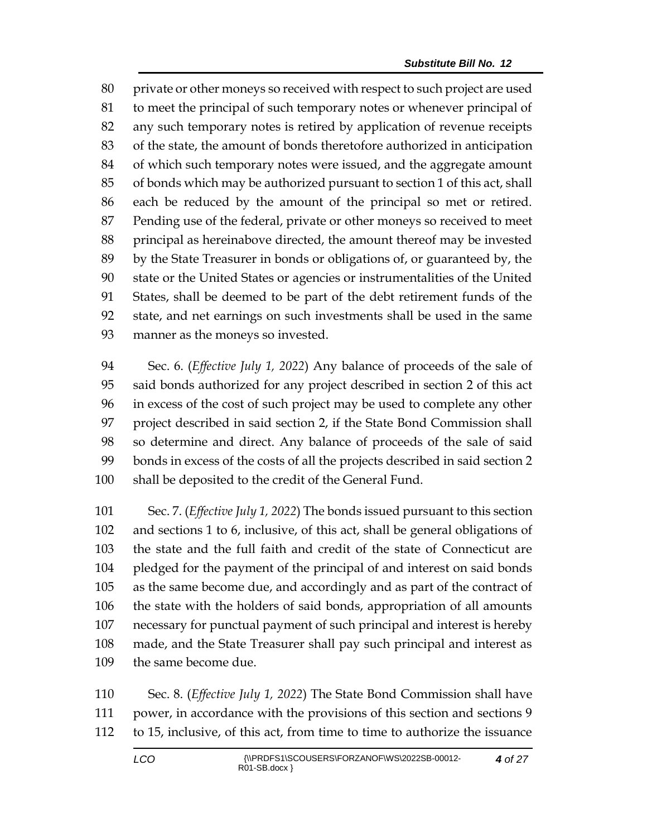private or other moneys so received with respect to such project are used to meet the principal of such temporary notes or whenever principal of any such temporary notes is retired by application of revenue receipts of the state, the amount of bonds theretofore authorized in anticipation of which such temporary notes were issued, and the aggregate amount of bonds which may be authorized pursuant to section 1 of this act, shall each be reduced by the amount of the principal so met or retired. Pending use of the federal, private or other moneys so received to meet principal as hereinabove directed, the amount thereof may be invested by the State Treasurer in bonds or obligations of, or guaranteed by, the state or the United States or agencies or instrumentalities of the United States, shall be deemed to be part of the debt retirement funds of the state, and net earnings on such investments shall be used in the same manner as the moneys so invested.

 Sec. 6. (*Effective July 1, 2022*) Any balance of proceeds of the sale of said bonds authorized for any project described in section 2 of this act in excess of the cost of such project may be used to complete any other project described in said section 2, if the State Bond Commission shall so determine and direct. Any balance of proceeds of the sale of said bonds in excess of the costs of all the projects described in said section 2 shall be deposited to the credit of the General Fund.

 Sec. 7. (*Effective July 1, 2022*) The bonds issued pursuant to this section and sections 1 to 6, inclusive, of this act, shall be general obligations of the state and the full faith and credit of the state of Connecticut are pledged for the payment of the principal of and interest on said bonds as the same become due, and accordingly and as part of the contract of the state with the holders of said bonds, appropriation of all amounts necessary for punctual payment of such principal and interest is hereby made, and the State Treasurer shall pay such principal and interest as the same become due.

 Sec. 8. (*Effective July 1, 2022*) The State Bond Commission shall have power, in accordance with the provisions of this section and sections 9 to 15, inclusive, of this act, from time to time to authorize the issuance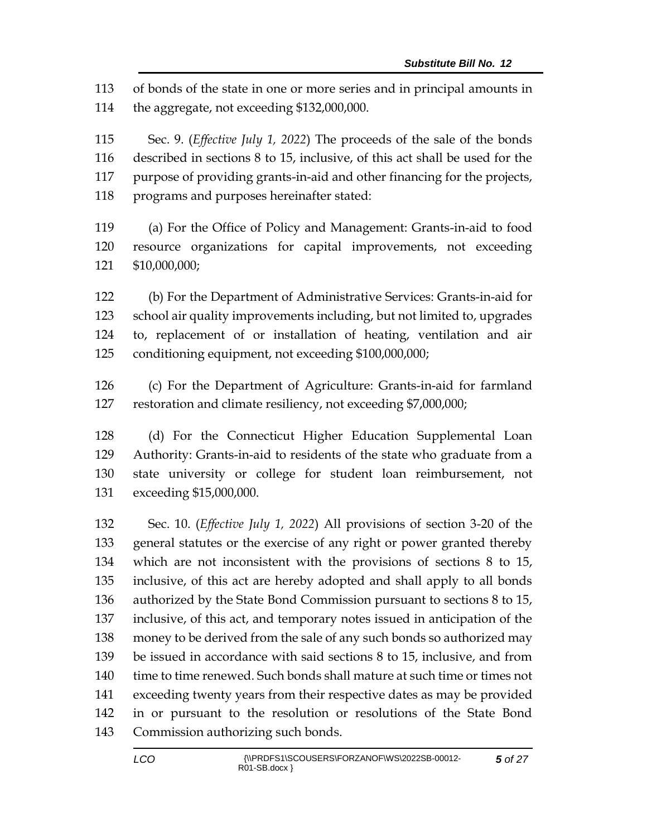of bonds of the state in one or more series and in principal amounts in the aggregate, not exceeding \$132,000,000.

 Sec. 9. (*Effective July 1, 2022*) The proceeds of the sale of the bonds described in sections 8 to 15, inclusive, of this act shall be used for the purpose of providing grants-in-aid and other financing for the projects, programs and purposes hereinafter stated:

 (a) For the Office of Policy and Management: Grants-in-aid to food resource organizations for capital improvements, not exceeding \$10,000,000;

 (b) For the Department of Administrative Services: Grants-in-aid for school air quality improvements including, but not limited to, upgrades to, replacement of or installation of heating, ventilation and air conditioning equipment, not exceeding \$100,000,000;

 (c) For the Department of Agriculture: Grants-in-aid for farmland restoration and climate resiliency, not exceeding \$7,000,000;

 (d) For the Connecticut Higher Education Supplemental Loan Authority: Grants-in-aid to residents of the state who graduate from a state university or college for student loan reimbursement, not exceeding \$15,000,000.

 Sec. 10. (*Effective July 1, 2022*) All provisions of section 3-20 of the general statutes or the exercise of any right or power granted thereby which are not inconsistent with the provisions of sections 8 to 15, inclusive, of this act are hereby adopted and shall apply to all bonds authorized by the State Bond Commission pursuant to sections 8 to 15, inclusive, of this act, and temporary notes issued in anticipation of the money to be derived from the sale of any such bonds so authorized may be issued in accordance with said sections 8 to 15, inclusive, and from time to time renewed. Such bonds shall mature at such time or times not exceeding twenty years from their respective dates as may be provided in or pursuant to the resolution or resolutions of the State Bond Commission authorizing such bonds.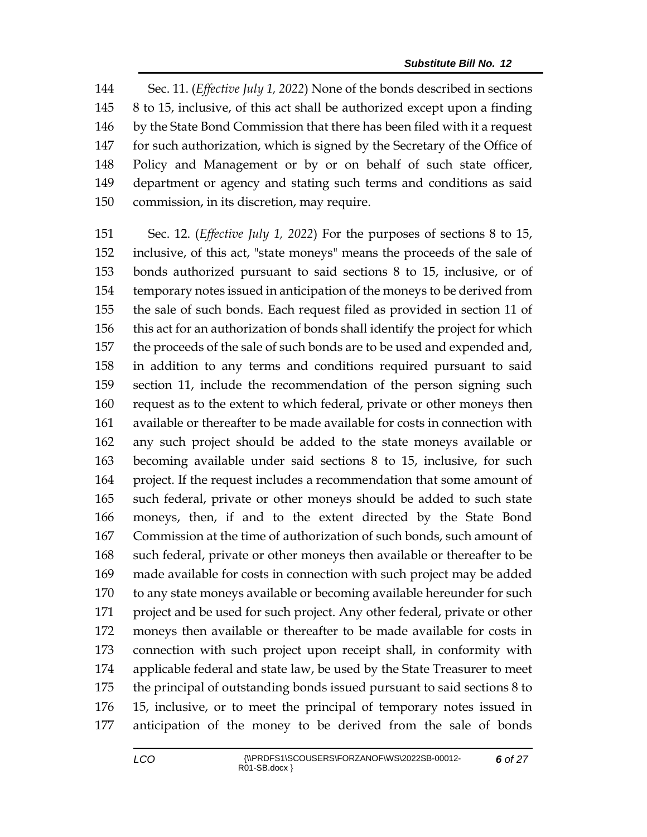Sec. 11. (*Effective July 1, 2022*) None of the bonds described in sections 8 to 15, inclusive, of this act shall be authorized except upon a finding by the State Bond Commission that there has been filed with it a request for such authorization, which is signed by the Secretary of the Office of Policy and Management or by or on behalf of such state officer, department or agency and stating such terms and conditions as said commission, in its discretion, may require.

 Sec. 12. (*Effective July 1, 2022*) For the purposes of sections 8 to 15, inclusive, of this act, "state moneys" means the proceeds of the sale of bonds authorized pursuant to said sections 8 to 15, inclusive, or of temporary notes issued in anticipation of the moneys to be derived from the sale of such bonds. Each request filed as provided in section 11 of this act for an authorization of bonds shall identify the project for which the proceeds of the sale of such bonds are to be used and expended and, in addition to any terms and conditions required pursuant to said section 11, include the recommendation of the person signing such request as to the extent to which federal, private or other moneys then available or thereafter to be made available for costs in connection with any such project should be added to the state moneys available or becoming available under said sections 8 to 15, inclusive, for such project. If the request includes a recommendation that some amount of such federal, private or other moneys should be added to such state moneys, then, if and to the extent directed by the State Bond Commission at the time of authorization of such bonds, such amount of such federal, private or other moneys then available or thereafter to be made available for costs in connection with such project may be added to any state moneys available or becoming available hereunder for such project and be used for such project. Any other federal, private or other moneys then available or thereafter to be made available for costs in connection with such project upon receipt shall, in conformity with applicable federal and state law, be used by the State Treasurer to meet the principal of outstanding bonds issued pursuant to said sections 8 to 15, inclusive, or to meet the principal of temporary notes issued in anticipation of the money to be derived from the sale of bonds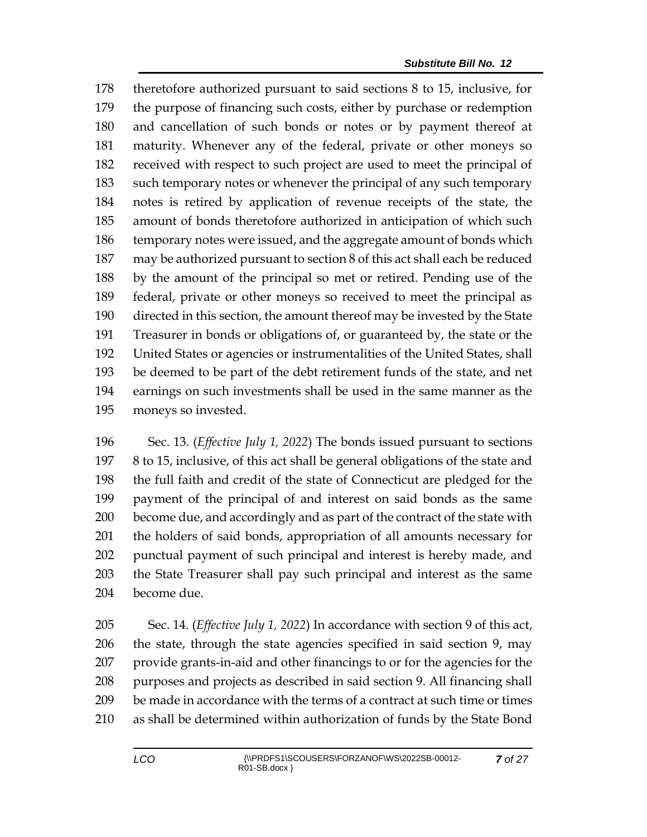theretofore authorized pursuant to said sections 8 to 15, inclusive, for the purpose of financing such costs, either by purchase or redemption and cancellation of such bonds or notes or by payment thereof at maturity. Whenever any of the federal, private or other moneys so received with respect to such project are used to meet the principal of such temporary notes or whenever the principal of any such temporary notes is retired by application of revenue receipts of the state, the amount of bonds theretofore authorized in anticipation of which such temporary notes were issued, and the aggregate amount of bonds which may be authorized pursuant to section 8 of this act shall each be reduced by the amount of the principal so met or retired. Pending use of the federal, private or other moneys so received to meet the principal as directed in this section, the amount thereof may be invested by the State Treasurer in bonds or obligations of, or guaranteed by, the state or the United States or agencies or instrumentalities of the United States, shall be deemed to be part of the debt retirement funds of the state, and net earnings on such investments shall be used in the same manner as the moneys so invested.

 Sec. 13. (*Effective July 1, 2022*) The bonds issued pursuant to sections 8 to 15, inclusive, of this act shall be general obligations of the state and the full faith and credit of the state of Connecticut are pledged for the payment of the principal of and interest on said bonds as the same become due, and accordingly and as part of the contract of the state with the holders of said bonds, appropriation of all amounts necessary for punctual payment of such principal and interest is hereby made, and the State Treasurer shall pay such principal and interest as the same become due.

 Sec. 14. (*Effective July 1, 2022*) In accordance with section 9 of this act, the state, through the state agencies specified in said section 9, may provide grants-in-aid and other financings to or for the agencies for the purposes and projects as described in said section 9. All financing shall be made in accordance with the terms of a contract at such time or times as shall be determined within authorization of funds by the State Bond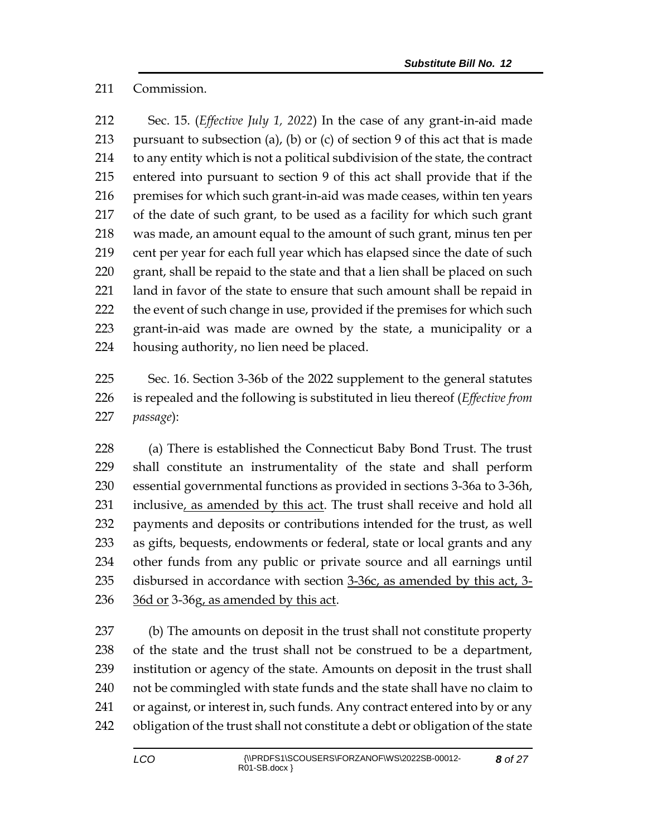Commission.

 Sec. 15. (*Effective July 1, 2022*) In the case of any grant-in-aid made 213 pursuant to subsection (a), (b) or (c) of section 9 of this act that is made to any entity which is not a political subdivision of the state, the contract entered into pursuant to section 9 of this act shall provide that if the 216 premises for which such grant-in-aid was made ceases, within ten years of the date of such grant, to be used as a facility for which such grant was made, an amount equal to the amount of such grant, minus ten per cent per year for each full year which has elapsed since the date of such 220 grant, shall be repaid to the state and that a lien shall be placed on such land in favor of the state to ensure that such amount shall be repaid in 222 the event of such change in use, provided if the premises for which such grant-in-aid was made are owned by the state, a municipality or a housing authority, no lien need be placed.

 Sec. 16. Section 3-36b of the 2022 supplement to the general statutes is repealed and the following is substituted in lieu thereof (*Effective from passage*):

 (a) There is established the Connecticut Baby Bond Trust. The trust shall constitute an instrumentality of the state and shall perform essential governmental functions as provided in sections 3-36a to 3-36h, 231 inclusive, as amended by this act. The trust shall receive and hold all payments and deposits or contributions intended for the trust, as well as gifts, bequests, endowments or federal, state or local grants and any other funds from any public or private source and all earnings until disbursed in accordance with section 3-36c, as amended by this act, 3- 36d or 3-36g, as amended by this act.

 (b) The amounts on deposit in the trust shall not constitute property of the state and the trust shall not be construed to be a department, institution or agency of the state. Amounts on deposit in the trust shall not be commingled with state funds and the state shall have no claim to or against, or interest in, such funds. Any contract entered into by or any obligation of the trust shall not constitute a debt or obligation of the state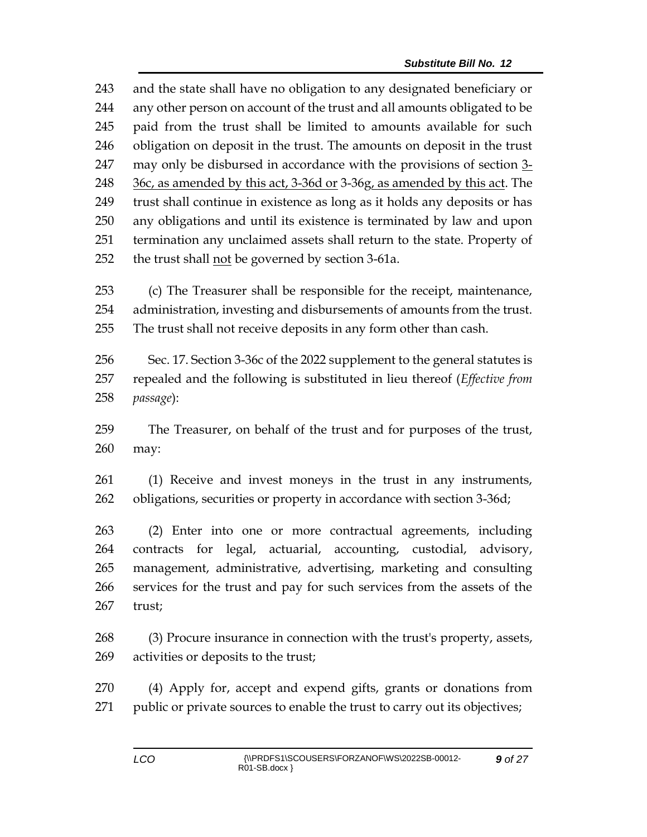and the state shall have no obligation to any designated beneficiary or any other person on account of the trust and all amounts obligated to be paid from the trust shall be limited to amounts available for such obligation on deposit in the trust. The amounts on deposit in the trust 247 may only be disbursed in accordance with the provisions of section 3-248 36c, as amended by this act, 3-36d or 3-36g, as amended by this act. The trust shall continue in existence as long as it holds any deposits or has any obligations and until its existence is terminated by law and upon termination any unclaimed assets shall return to the state. Property of the trust shall not be governed by section 3-61a.

 (c) The Treasurer shall be responsible for the receipt, maintenance, administration, investing and disbursements of amounts from the trust. The trust shall not receive deposits in any form other than cash.

 Sec. 17. Section 3-36c of the 2022 supplement to the general statutes is repealed and the following is substituted in lieu thereof (*Effective from passage*):

 The Treasurer, on behalf of the trust and for purposes of the trust, may:

 (1) Receive and invest moneys in the trust in any instruments, obligations, securities or property in accordance with section 3-36d;

 (2) Enter into one or more contractual agreements, including contracts for legal, actuarial, accounting, custodial, advisory, management, administrative, advertising, marketing and consulting services for the trust and pay for such services from the assets of the trust;

 (3) Procure insurance in connection with the trust's property, assets, activities or deposits to the trust;

 (4) Apply for, accept and expend gifts, grants or donations from 271 public or private sources to enable the trust to carry out its objectives;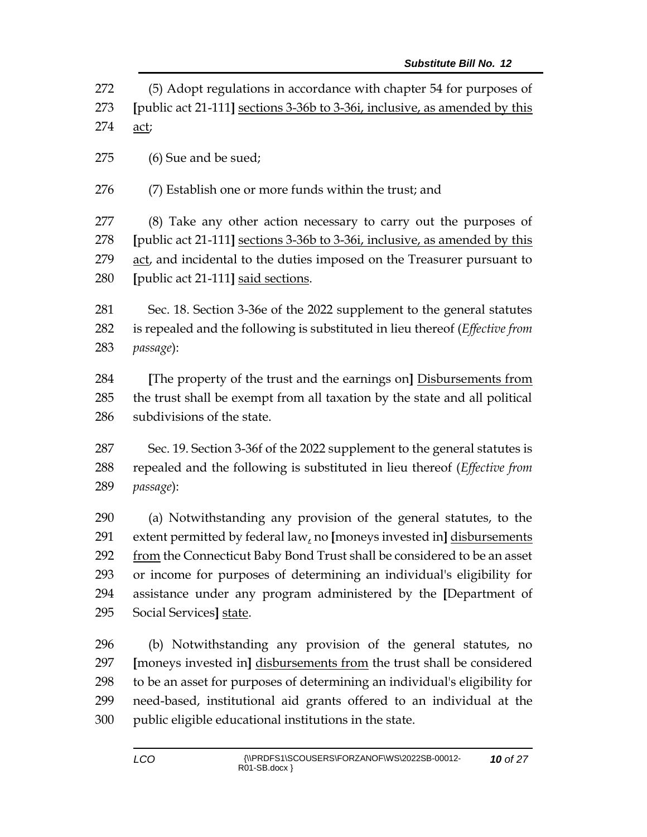(5) Adopt regulations in accordance with chapter 54 for purposes of **[**public act 21-111**]** sections 3-36b to 3-36i, inclusive, as amended by this act;

(6) Sue and be sued;

(7) Establish one or more funds within the trust; and

 (8) Take any other action necessary to carry out the purposes of **[**public act 21-111**]** sections 3-36b to 3-36i, inclusive, as amended by this act, and incidental to the duties imposed on the Treasurer pursuant to **[**public act 21-111**]** said sections.

 Sec. 18. Section 3-36e of the 2022 supplement to the general statutes is repealed and the following is substituted in lieu thereof (*Effective from passage*):

 **[**The property of the trust and the earnings on**]** Disbursements from the trust shall be exempt from all taxation by the state and all political subdivisions of the state.

 Sec. 19. Section 3-36f of the 2022 supplement to the general statutes is repealed and the following is substituted in lieu thereof (*Effective from passage*):

 (a) Notwithstanding any provision of the general statutes, to the extent permitted by federal law, no **[**moneys invested in**]** disbursements 292 from the Connecticut Baby Bond Trust shall be considered to be an asset or income for purposes of determining an individual's eligibility for assistance under any program administered by the **[**Department of Social Services**]** state.

 (b) Notwithstanding any provision of the general statutes, no **[**moneys invested in**]** disbursements from the trust shall be considered to be an asset for purposes of determining an individual's eligibility for need-based, institutional aid grants offered to an individual at the public eligible educational institutions in the state.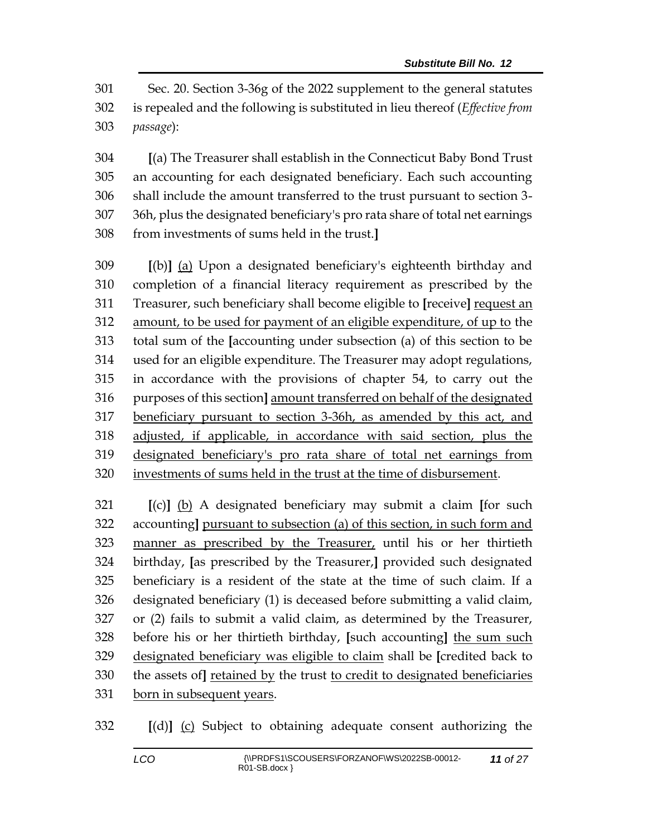Sec. 20. Section 3-36g of the 2022 supplement to the general statutes is repealed and the following is substituted in lieu thereof (*Effective from passage*):

 **[**(a) The Treasurer shall establish in the Connecticut Baby Bond Trust an accounting for each designated beneficiary. Each such accounting shall include the amount transferred to the trust pursuant to section 3- 36h, plus the designated beneficiary's pro rata share of total net earnings from investments of sums held in the trust.**]**

 **[**(b)**]** (a) Upon a designated beneficiary's eighteenth birthday and completion of a financial literacy requirement as prescribed by the Treasurer, such beneficiary shall become eligible to **[**receive**]** request an amount, to be used for payment of an eligible expenditure, of up to the total sum of the **[**accounting under subsection (a) of this section to be used for an eligible expenditure. The Treasurer may adopt regulations, in accordance with the provisions of chapter 54, to carry out the purposes of this section**]** amount transferred on behalf of the designated beneficiary pursuant to section 3-36h, as amended by this act, and adjusted, if applicable, in accordance with said section, plus the designated beneficiary's pro rata share of total net earnings from investments of sums held in the trust at the time of disbursement.

 **[**(c)**]** (b) A designated beneficiary may submit a claim **[**for such accounting**]** pursuant to subsection (a) of this section, in such form and manner as prescribed by the Treasurer, until his or her thirtieth birthday, **[**as prescribed by the Treasurer,**]** provided such designated beneficiary is a resident of the state at the time of such claim. If a designated beneficiary (1) is deceased before submitting a valid claim, or (2) fails to submit a valid claim, as determined by the Treasurer, before his or her thirtieth birthday, **[**such accounting**]** the sum such designated beneficiary was eligible to claim shall be **[**credited back to the assets of**]** retained by the trust to credit to designated beneficiaries born in subsequent years.

**[**(d)**]** (c) Subject to obtaining adequate consent authorizing the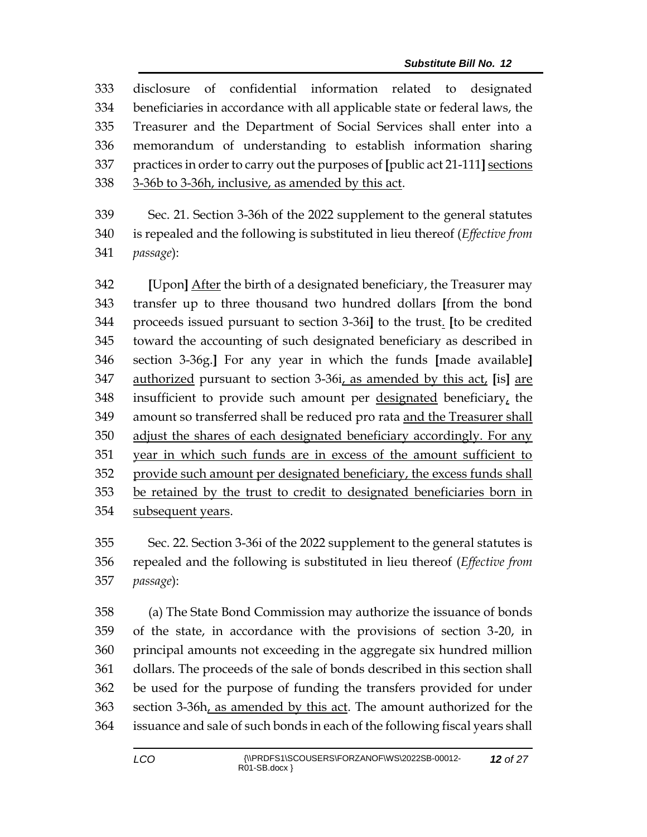| 333 | of confidential information related to designated<br>disclosure              |
|-----|------------------------------------------------------------------------------|
| 334 | beneficiaries in accordance with all applicable state or federal laws, the   |
| 335 | Treasurer and the Department of Social Services shall enter into a           |
| 336 | memorandum of understanding to establish information sharing                 |
| 337 | practices in order to carry out the purposes of [public act 21-111] sections |
| 338 | 3-36b to 3-36h, inclusive, as amended by this act.                           |
| 339 | Sec. 21. Section 3-36h of the 2022 supplement to the general statutes        |
| 340 | is repealed and the following is substituted in lieu thereof (Effective from |
| 341 | passage):                                                                    |
| 342 | [Upon] After the birth of a designated beneficiary, the Treasurer may        |
| 343 | transfer up to three thousand two hundred dollars [from the bond             |
| 344 | proceeds issued pursuant to section 3-36i] to the trust. [to be credited     |
| 345 | toward the accounting of such designated beneficiary as described in         |
| 346 | section 3-36g.] For any year in which the funds [made available]             |
| 347 | authorized pursuant to section 3-36i, as amended by this act, [is] are       |
| 348 | insufficient to provide such amount per designated beneficiary, the          |
| 349 | amount so transferred shall be reduced pro rata and the Treasurer shall      |
| 350 | adjust the shares of each designated beneficiary accordingly. For any        |
| 351 | year in which such funds are in excess of the amount sufficient to           |
| 352 | provide such amount per designated beneficiary, the excess funds shall       |
| 353 | be retained by the trust to credit to designated beneficiaries born in       |

subsequent years.

 Sec. 22. Section 3-36i of the 2022 supplement to the general statutes is repealed and the following is substituted in lieu thereof (*Effective from passage*):

 (a) The State Bond Commission may authorize the issuance of bonds of the state, in accordance with the provisions of section 3-20, in principal amounts not exceeding in the aggregate six hundred million dollars. The proceeds of the sale of bonds described in this section shall be used for the purpose of funding the transfers provided for under 363 section 3-36h, as amended by this act. The amount authorized for the issuance and sale of such bonds in each of the following fiscal years shall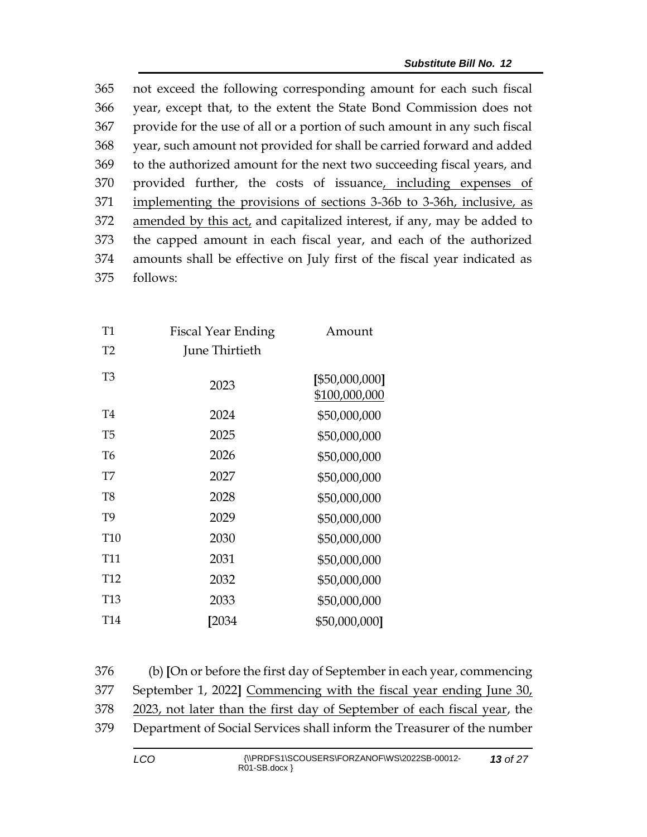not exceed the following corresponding amount for each such fiscal year, except that, to the extent the State Bond Commission does not provide for the use of all or a portion of such amount in any such fiscal year, such amount not provided for shall be carried forward and added to the authorized amount for the next two succeeding fiscal years, and provided further, the costs of issuance, including expenses of implementing the provisions of sections 3-36b to 3-36h, inclusive, as amended by this act, and capitalized interest, if any, may be added to the capped amount in each fiscal year, and each of the authorized amounts shall be effective on July first of the fiscal year indicated as 375 follows:

| Fiscal Year Ending | Amount                          |
|--------------------|---------------------------------|
| June Thirtieth     |                                 |
| 2023               | [\$50,000,000]<br>\$100,000,000 |
| 2024               | \$50,000,000                    |
| 2025               | \$50,000,000                    |
| 2026               | \$50,000,000                    |
| 2027               | \$50,000,000                    |
| 2028               | \$50,000,000                    |
| 2029               | \$50,000,000                    |
| 2030               | \$50,000,000                    |
| 2031               | \$50,000,000                    |
| 2032               | \$50,000,000                    |
| 2033               | \$50,000,000                    |
| [2034              | \$50,000,000]                   |
|                    |                                 |

| 376   | (b) [On or before the first day of September in each year, commencing    |
|-------|--------------------------------------------------------------------------|
| 377   | September 1, 2022] Commencing with the fiscal year ending June 30,       |
| 378   | 2023, not later than the first day of September of each fiscal year, the |
| 379 - | Department of Social Services shall inform the Treasurer of the number   |
|       |                                                                          |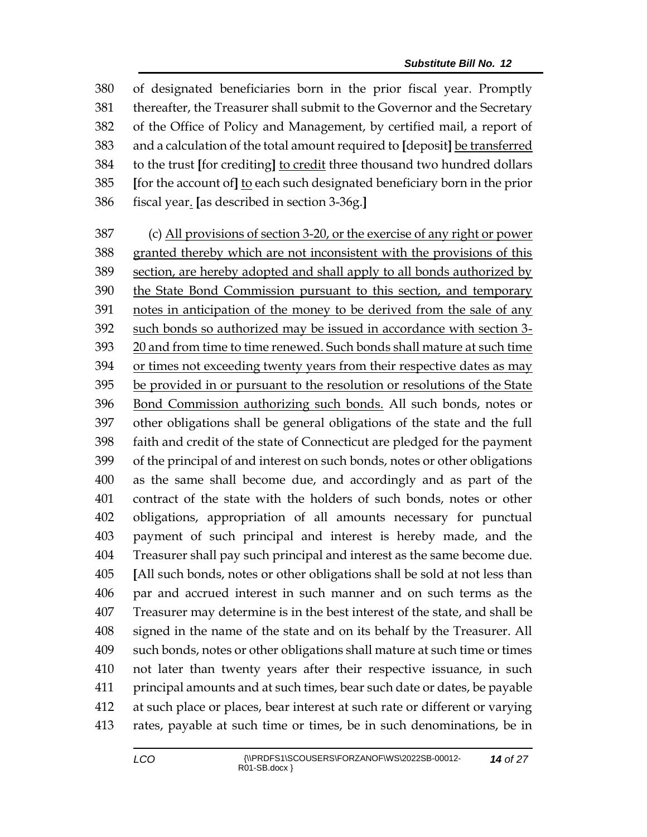of designated beneficiaries born in the prior fiscal year. Promptly thereafter, the Treasurer shall submit to the Governor and the Secretary of the Office of Policy and Management, by certified mail, a report of and a calculation of the total amount required to **[**deposit**]** be transferred to the trust **[**for crediting**]** to credit three thousand two hundred dollars **[**for the account of**]** to each such designated beneficiary born in the prior fiscal year. **[**as described in section 3-36g.**]**

 (c) All provisions of section 3-20, or the exercise of any right or power granted thereby which are not inconsistent with the provisions of this section, are hereby adopted and shall apply to all bonds authorized by the State Bond Commission pursuant to this section, and temporary 391 notes in anticipation of the money to be derived from the sale of any such bonds so authorized may be issued in accordance with section 3- 20 and from time to time renewed. Such bonds shall mature at such time or times not exceeding twenty years from their respective dates as may be provided in or pursuant to the resolution or resolutions of the State Bond Commission authorizing such bonds. All such bonds, notes or other obligations shall be general obligations of the state and the full faith and credit of the state of Connecticut are pledged for the payment of the principal of and interest on such bonds, notes or other obligations as the same shall become due, and accordingly and as part of the contract of the state with the holders of such bonds, notes or other obligations, appropriation of all amounts necessary for punctual payment of such principal and interest is hereby made, and the Treasurer shall pay such principal and interest as the same become due. **[**All such bonds, notes or other obligations shall be sold at not less than par and accrued interest in such manner and on such terms as the Treasurer may determine is in the best interest of the state, and shall be signed in the name of the state and on its behalf by the Treasurer. All such bonds, notes or other obligations shall mature at such time or times not later than twenty years after their respective issuance, in such principal amounts and at such times, bear such date or dates, be payable at such place or places, bear interest at such rate or different or varying rates, payable at such time or times, be in such denominations, be in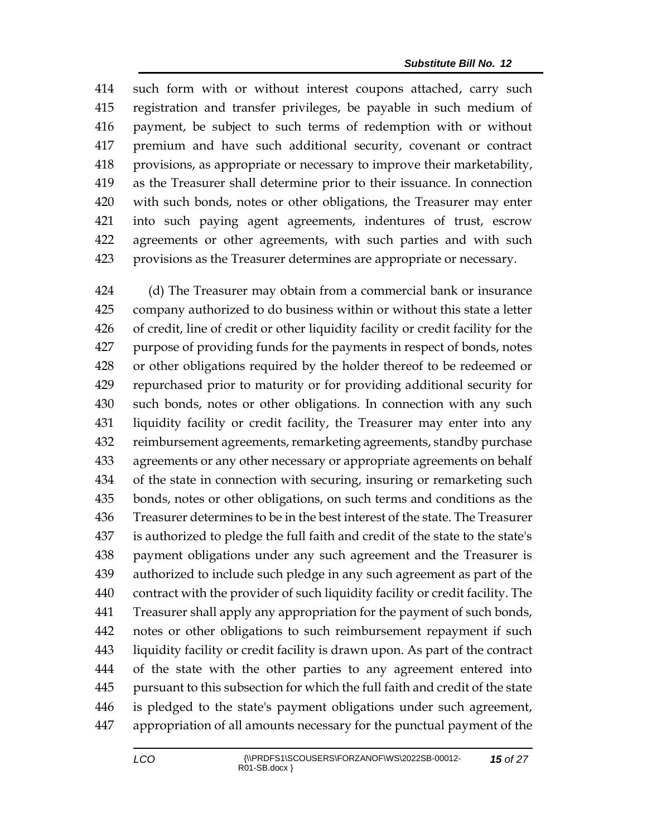such form with or without interest coupons attached, carry such registration and transfer privileges, be payable in such medium of payment, be subject to such terms of redemption with or without premium and have such additional security, covenant or contract provisions, as appropriate or necessary to improve their marketability, as the Treasurer shall determine prior to their issuance. In connection with such bonds, notes or other obligations, the Treasurer may enter into such paying agent agreements, indentures of trust, escrow agreements or other agreements, with such parties and with such provisions as the Treasurer determines are appropriate or necessary.

 (d) The Treasurer may obtain from a commercial bank or insurance company authorized to do business within or without this state a letter of credit, line of credit or other liquidity facility or credit facility for the purpose of providing funds for the payments in respect of bonds, notes or other obligations required by the holder thereof to be redeemed or repurchased prior to maturity or for providing additional security for such bonds, notes or other obligations. In connection with any such liquidity facility or credit facility, the Treasurer may enter into any reimbursement agreements, remarketing agreements, standby purchase agreements or any other necessary or appropriate agreements on behalf of the state in connection with securing, insuring or remarketing such bonds, notes or other obligations, on such terms and conditions as the Treasurer determines to be in the best interest of the state. The Treasurer is authorized to pledge the full faith and credit of the state to the state's payment obligations under any such agreement and the Treasurer is authorized to include such pledge in any such agreement as part of the contract with the provider of such liquidity facility or credit facility. The Treasurer shall apply any appropriation for the payment of such bonds, notes or other obligations to such reimbursement repayment if such liquidity facility or credit facility is drawn upon. As part of the contract of the state with the other parties to any agreement entered into pursuant to this subsection for which the full faith and credit of the state is pledged to the state's payment obligations under such agreement, appropriation of all amounts necessary for the punctual payment of the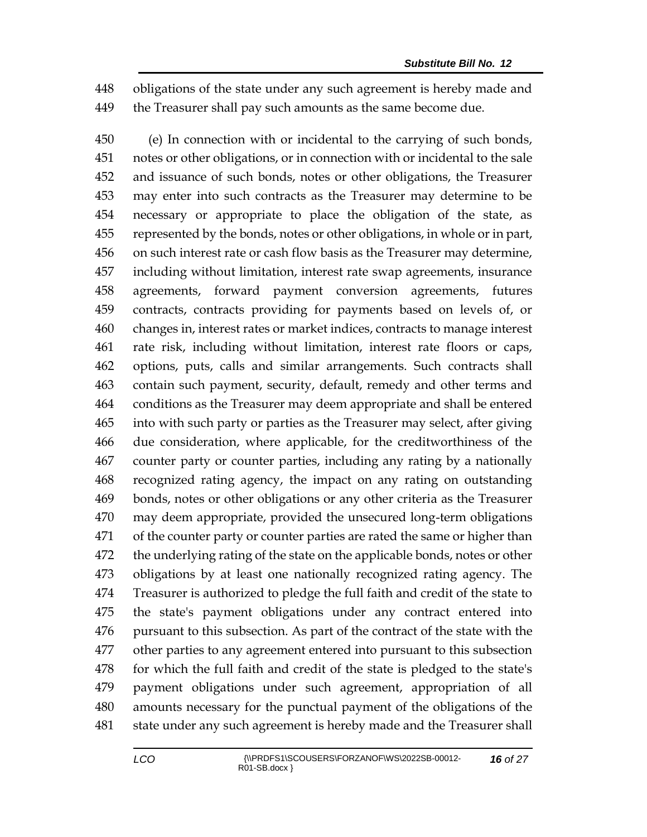obligations of the state under any such agreement is hereby made and the Treasurer shall pay such amounts as the same become due.

 (e) In connection with or incidental to the carrying of such bonds, notes or other obligations, or in connection with or incidental to the sale and issuance of such bonds, notes or other obligations, the Treasurer may enter into such contracts as the Treasurer may determine to be necessary or appropriate to place the obligation of the state, as represented by the bonds, notes or other obligations, in whole or in part, on such interest rate or cash flow basis as the Treasurer may determine, including without limitation, interest rate swap agreements, insurance agreements, forward payment conversion agreements, futures contracts, contracts providing for payments based on levels of, or changes in, interest rates or market indices, contracts to manage interest rate risk, including without limitation, interest rate floors or caps, options, puts, calls and similar arrangements. Such contracts shall contain such payment, security, default, remedy and other terms and conditions as the Treasurer may deem appropriate and shall be entered into with such party or parties as the Treasurer may select, after giving due consideration, where applicable, for the creditworthiness of the counter party or counter parties, including any rating by a nationally recognized rating agency, the impact on any rating on outstanding bonds, notes or other obligations or any other criteria as the Treasurer may deem appropriate, provided the unsecured long-term obligations of the counter party or counter parties are rated the same or higher than the underlying rating of the state on the applicable bonds, notes or other obligations by at least one nationally recognized rating agency. The Treasurer is authorized to pledge the full faith and credit of the state to the state's payment obligations under any contract entered into pursuant to this subsection. As part of the contract of the state with the other parties to any agreement entered into pursuant to this subsection for which the full faith and credit of the state is pledged to the state's payment obligations under such agreement, appropriation of all amounts necessary for the punctual payment of the obligations of the state under any such agreement is hereby made and the Treasurer shall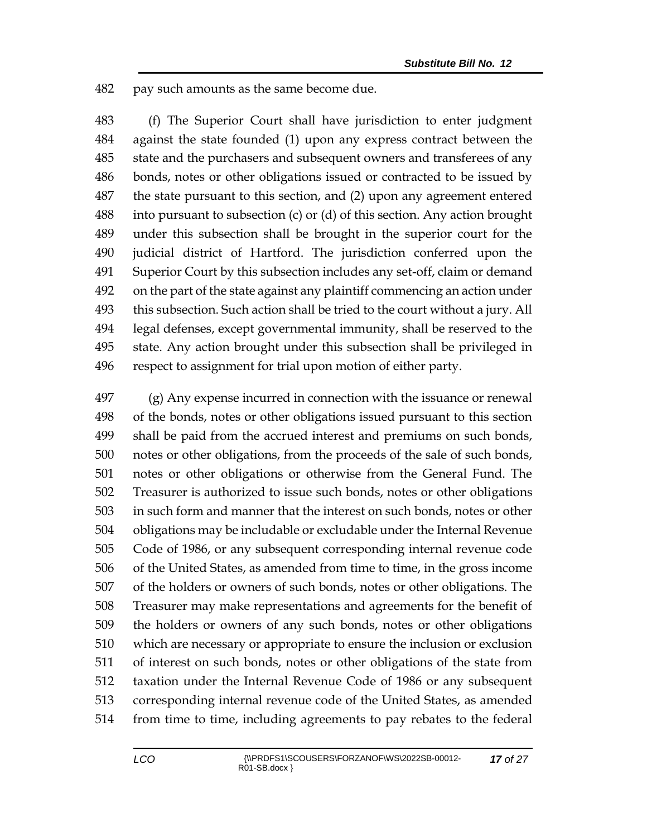pay such amounts as the same become due.

 (f) The Superior Court shall have jurisdiction to enter judgment against the state founded (1) upon any express contract between the state and the purchasers and subsequent owners and transferees of any bonds, notes or other obligations issued or contracted to be issued by the state pursuant to this section, and (2) upon any agreement entered into pursuant to subsection (c) or (d) of this section. Any action brought under this subsection shall be brought in the superior court for the judicial district of Hartford. The jurisdiction conferred upon the Superior Court by this subsection includes any set-off, claim or demand on the part of the state against any plaintiff commencing an action under this subsection. Such action shall be tried to the court without a jury. All legal defenses, except governmental immunity, shall be reserved to the state. Any action brought under this subsection shall be privileged in respect to assignment for trial upon motion of either party.

 (g) Any expense incurred in connection with the issuance or renewal of the bonds, notes or other obligations issued pursuant to this section shall be paid from the accrued interest and premiums on such bonds, notes or other obligations, from the proceeds of the sale of such bonds, notes or other obligations or otherwise from the General Fund. The Treasurer is authorized to issue such bonds, notes or other obligations in such form and manner that the interest on such bonds, notes or other obligations may be includable or excludable under the Internal Revenue Code of 1986, or any subsequent corresponding internal revenue code of the United States, as amended from time to time, in the gross income of the holders or owners of such bonds, notes or other obligations. The Treasurer may make representations and agreements for the benefit of the holders or owners of any such bonds, notes or other obligations which are necessary or appropriate to ensure the inclusion or exclusion of interest on such bonds, notes or other obligations of the state from taxation under the Internal Revenue Code of 1986 or any subsequent corresponding internal revenue code of the United States, as amended from time to time, including agreements to pay rebates to the federal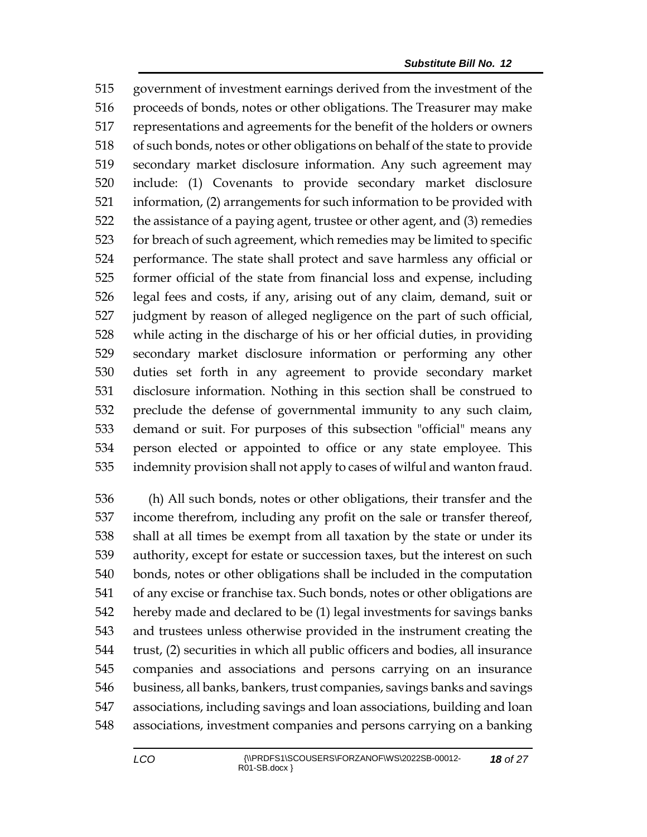government of investment earnings derived from the investment of the proceeds of bonds, notes or other obligations. The Treasurer may make representations and agreements for the benefit of the holders or owners of such bonds, notes or other obligations on behalf of the state to provide secondary market disclosure information. Any such agreement may include: (1) Covenants to provide secondary market disclosure information, (2) arrangements for such information to be provided with the assistance of a paying agent, trustee or other agent, and (3) remedies for breach of such agreement, which remedies may be limited to specific performance. The state shall protect and save harmless any official or former official of the state from financial loss and expense, including legal fees and costs, if any, arising out of any claim, demand, suit or judgment by reason of alleged negligence on the part of such official, while acting in the discharge of his or her official duties, in providing secondary market disclosure information or performing any other duties set forth in any agreement to provide secondary market disclosure information. Nothing in this section shall be construed to preclude the defense of governmental immunity to any such claim, demand or suit. For purposes of this subsection "official" means any person elected or appointed to office or any state employee. This indemnity provision shall not apply to cases of wilful and wanton fraud.

 (h) All such bonds, notes or other obligations, their transfer and the income therefrom, including any profit on the sale or transfer thereof, shall at all times be exempt from all taxation by the state or under its authority, except for estate or succession taxes, but the interest on such bonds, notes or other obligations shall be included in the computation of any excise or franchise tax. Such bonds, notes or other obligations are hereby made and declared to be (1) legal investments for savings banks and trustees unless otherwise provided in the instrument creating the trust, (2) securities in which all public officers and bodies, all insurance companies and associations and persons carrying on an insurance business, all banks, bankers, trust companies, savings banks and savings associations, including savings and loan associations, building and loan associations, investment companies and persons carrying on a banking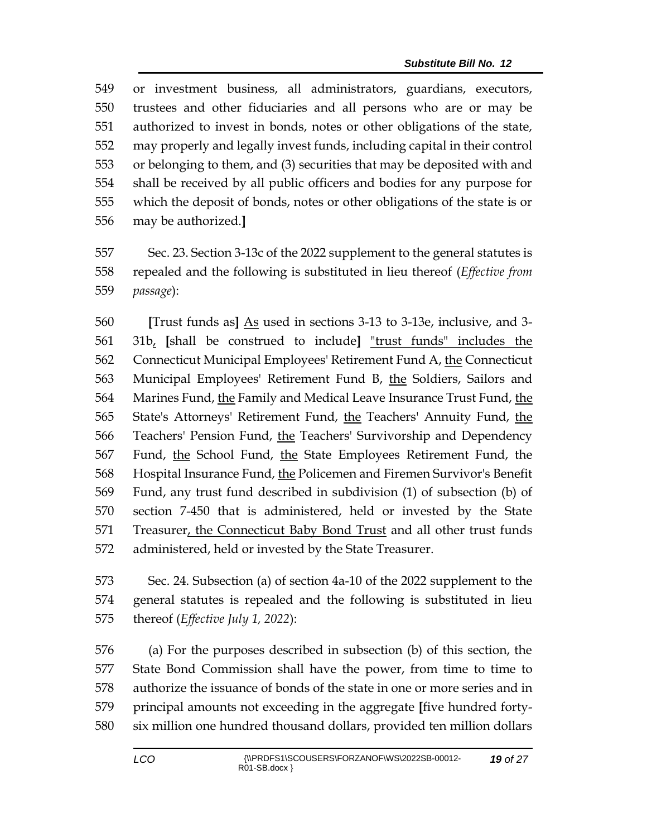or investment business, all administrators, guardians, executors, trustees and other fiduciaries and all persons who are or may be authorized to invest in bonds, notes or other obligations of the state, may properly and legally invest funds, including capital in their control or belonging to them, and (3) securities that may be deposited with and shall be received by all public officers and bodies for any purpose for which the deposit of bonds, notes or other obligations of the state is or may be authorized.**]**

 Sec. 23. Section 3-13c of the 2022 supplement to the general statutes is repealed and the following is substituted in lieu thereof (*Effective from passage*):

 **[**Trust funds as**]** As used in sections 3-13 to 3-13e, inclusive, and 3- 31b, **[**shall be construed to include**]** "trust funds" includes the 562 Connecticut Municipal Employees' Retirement Fund A, the Connecticut Municipal Employees' Retirement Fund B, the Soldiers, Sailors and Marines Fund, the Family and Medical Leave Insurance Trust Fund, the State's Attorneys' Retirement Fund, the Teachers' Annuity Fund, the Teachers' Pension Fund, the Teachers' Survivorship and Dependency Fund, the School Fund, the State Employees Retirement Fund, the Hospital Insurance Fund, the Policemen and Firemen Survivor's Benefit Fund, any trust fund described in subdivision (1) of subsection (b) of section 7-450 that is administered, held or invested by the State Treasurer, the Connecticut Baby Bond Trust and all other trust funds administered, held or invested by the State Treasurer.

 Sec. 24. Subsection (a) of section 4a-10 of the 2022 supplement to the general statutes is repealed and the following is substituted in lieu thereof (*Effective July 1, 2022*):

 (a) For the purposes described in subsection (b) of this section, the State Bond Commission shall have the power, from time to time to authorize the issuance of bonds of the state in one or more series and in principal amounts not exceeding in the aggregate **[**five hundred forty-six million one hundred thousand dollars, provided ten million dollars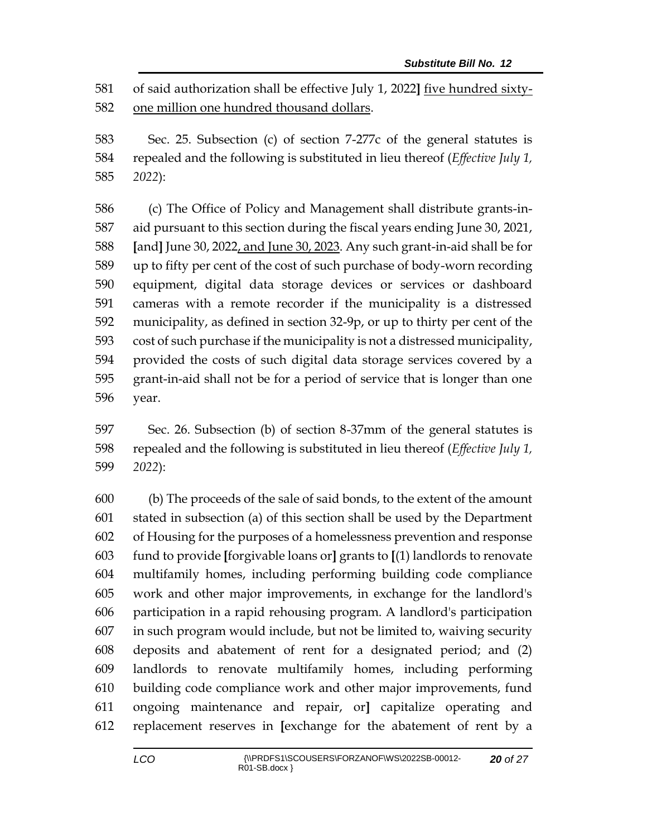of said authorization shall be effective July 1, 2022**]** five hundred sixty-one million one hundred thousand dollars.

 Sec. 25. Subsection (c) of section 7-277c of the general statutes is repealed and the following is substituted in lieu thereof (*Effective July 1, 2022*):

 (c) The Office of Policy and Management shall distribute grants-in- aid pursuant to this section during the fiscal years ending June 30, 2021, **[**and**]** June 30, 2022, and June 30, 2023. Any such grant-in-aid shall be for up to fifty per cent of the cost of such purchase of body-worn recording equipment, digital data storage devices or services or dashboard cameras with a remote recorder if the municipality is a distressed municipality, as defined in section 32-9p, or up to thirty per cent of the cost of such purchase if the municipality is not a distressed municipality, provided the costs of such digital data storage services covered by a grant-in-aid shall not be for a period of service that is longer than one year.

 Sec. 26. Subsection (b) of section 8-37mm of the general statutes is repealed and the following is substituted in lieu thereof (*Effective July 1, 2022*):

 (b) The proceeds of the sale of said bonds, to the extent of the amount stated in subsection (a) of this section shall be used by the Department of Housing for the purposes of a homelessness prevention and response fund to provide **[**forgivable loans or**]** grants to **[**(1) landlords to renovate multifamily homes, including performing building code compliance work and other major improvements, in exchange for the landlord's participation in a rapid rehousing program. A landlord's participation in such program would include, but not be limited to, waiving security deposits and abatement of rent for a designated period; and (2) landlords to renovate multifamily homes, including performing building code compliance work and other major improvements, fund ongoing maintenance and repair, or**]** capitalize operating and replacement reserves in **[**exchange for the abatement of rent by a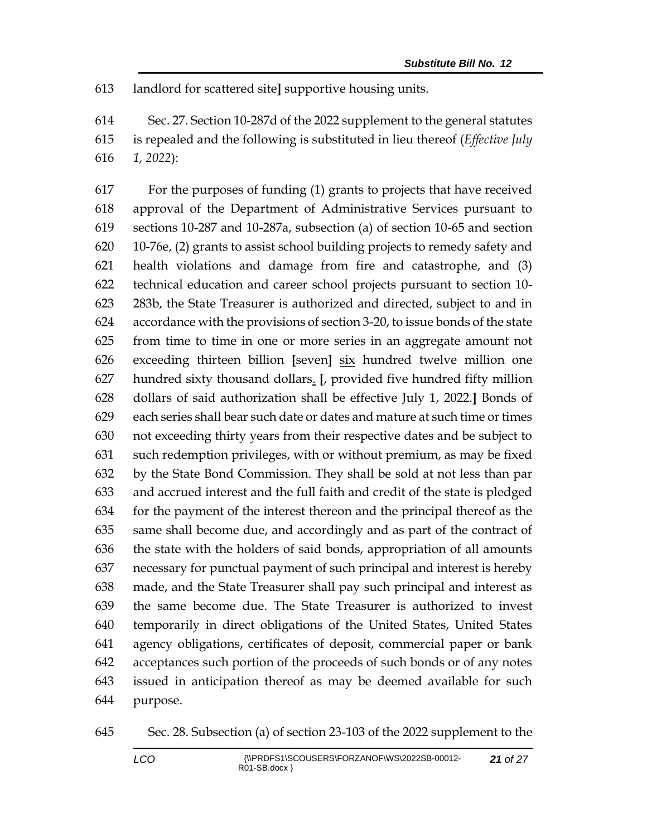landlord for scattered site**]** supportive housing units.

 Sec. 27. Section 10-287d of the 2022 supplement to the general statutes is repealed and the following is substituted in lieu thereof (*Effective July 1, 2022*):

 For the purposes of funding (1) grants to projects that have received approval of the Department of Administrative Services pursuant to sections 10-287 and 10-287a, subsection (a) of section 10-65 and section 10-76e, (2) grants to assist school building projects to remedy safety and health violations and damage from fire and catastrophe, and (3) technical education and career school projects pursuant to section 10- 283b, the State Treasurer is authorized and directed, subject to and in accordance with the provisions of section 3-20, to issue bonds of the state from time to time in one or more series in an aggregate amount not exceeding thirteen billion **[**seven**]** six hundred twelve million one hundred sixty thousand dollars. **[**, provided five hundred fifty million dollars of said authorization shall be effective July 1, 2022.**]** Bonds of each series shall bear such date or dates and mature at such time or times not exceeding thirty years from their respective dates and be subject to such redemption privileges, with or without premium, as may be fixed by the State Bond Commission. They shall be sold at not less than par and accrued interest and the full faith and credit of the state is pledged for the payment of the interest thereon and the principal thereof as the same shall become due, and accordingly and as part of the contract of the state with the holders of said bonds, appropriation of all amounts necessary for punctual payment of such principal and interest is hereby made, and the State Treasurer shall pay such principal and interest as the same become due. The State Treasurer is authorized to invest temporarily in direct obligations of the United States, United States agency obligations, certificates of deposit, commercial paper or bank acceptances such portion of the proceeds of such bonds or of any notes issued in anticipation thereof as may be deemed available for such purpose.

Sec. 28. Subsection (a) of section 23-103 of the 2022 supplement to the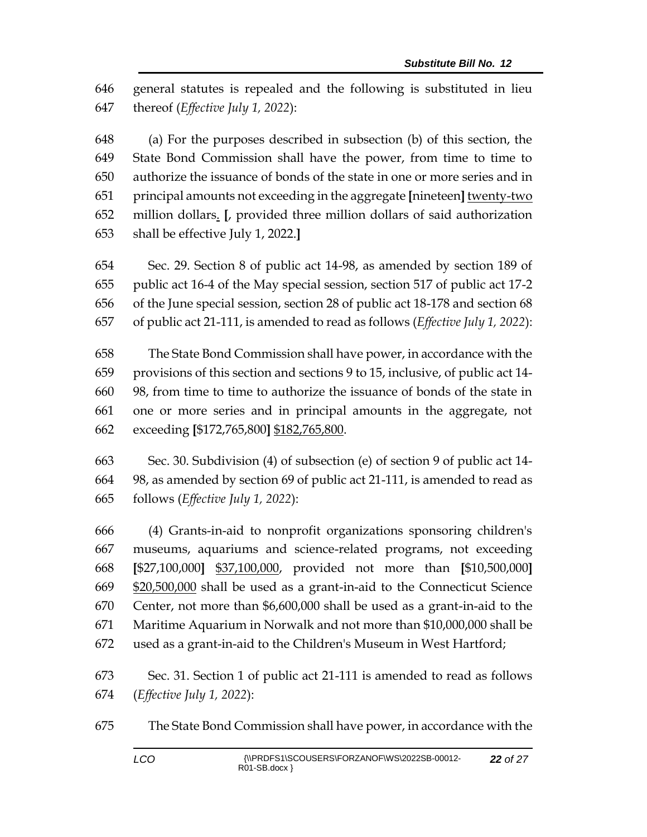general statutes is repealed and the following is substituted in lieu thereof (*Effective July 1, 2022*):

 (a) For the purposes described in subsection (b) of this section, the State Bond Commission shall have the power, from time to time to authorize the issuance of bonds of the state in one or more series and in principal amounts not exceeding in the aggregate **[**nineteen**]** twenty-two million dollars. **[**, provided three million dollars of said authorization shall be effective July 1, 2022.**]**

 Sec. 29. Section 8 of public act 14-98, as amended by section 189 of public act 16-4 of the May special session, section 517 of public act 17-2 of the June special session, section 28 of public act 18-178 and section 68 of public act 21-111, is amended to read as follows (*Effective July 1, 2022*):

 The State Bond Commission shall have power, in accordance with the provisions of this section and sections 9 to 15, inclusive, of public act 14- 98, from time to time to authorize the issuance of bonds of the state in one or more series and in principal amounts in the aggregate, not exceeding **[**\$172,765,800**]** \$182,765,800.

 Sec. 30. Subdivision (4) of subsection (e) of section 9 of public act 14- 98, as amended by section 69 of public act 21-111, is amended to read as follows (*Effective July 1, 2022*):

 (4) Grants-in-aid to nonprofit organizations sponsoring children's museums, aquariums and science-related programs, not exceeding **[**\$27,100,000**]** \$37,100,000, provided not more than **[**\$10,500,000**]** \$20,500,000 shall be used as a grant-in-aid to the Connecticut Science Center, not more than \$6,600,000 shall be used as a grant-in-aid to the Maritime Aquarium in Norwalk and not more than \$10,000,000 shall be used as a grant-in-aid to the Children's Museum in West Hartford;

 Sec. 31. Section 1 of public act 21-111 is amended to read as follows (*Effective July 1, 2022*):

The State Bond Commission shall have power, in accordance with the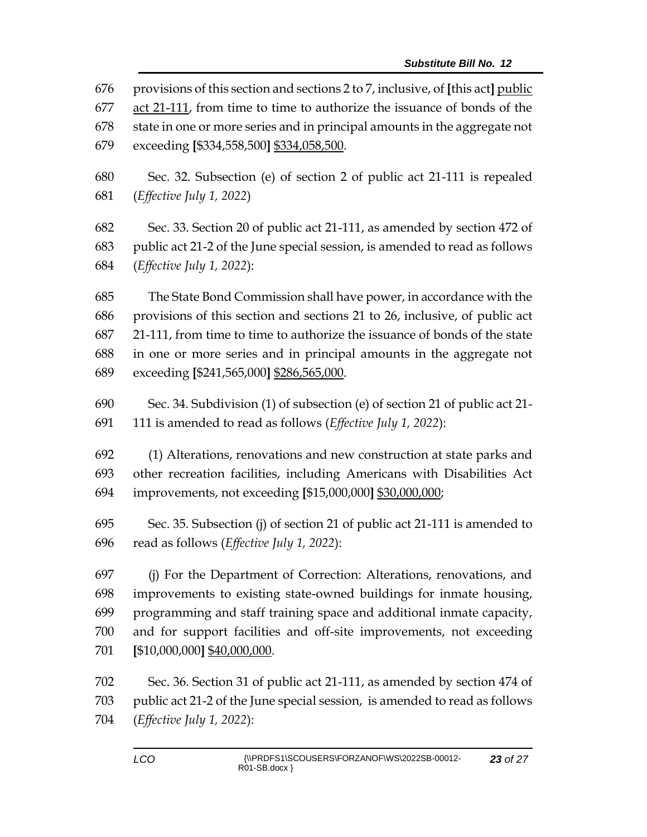provisions of this section and sections 2 to 7, inclusive, of **[**this act**]** public act 21-111, from time to time to authorize the issuance of bonds of the state in one or more series and in principal amounts in the aggregate not exceeding **[**\$334,558,500**]** \$334,058,500. Sec. 32. Subsection (e) of section 2 of public act 21-111 is repealed (*Effective July 1, 2022*) Sec. 33. Section 20 of public act 21-111, as amended by section 472 of public act 21-2 of the June special session, is amended to read as follows (*Effective July 1, 2022*): The State Bond Commission shall have power, in accordance with the provisions of this section and sections 21 to 26, inclusive, of public act 21-111, from time to time to authorize the issuance of bonds of the state in one or more series and in principal amounts in the aggregate not exceeding **[**\$241,565,000**]** \$286,565,000. Sec. 34. Subdivision (1) of subsection (e) of section 21 of public act 21- 111 is amended to read as follows (*Effective July 1, 2022*): (1) Alterations, renovations and new construction at state parks and other recreation facilities, including Americans with Disabilities Act improvements, not exceeding **[**\$15,000,000**]** \$30,000,000; Sec. 35. Subsection (j) of section 21 of public act 21-111 is amended to read as follows (*Effective July 1, 2022*): (j) For the Department of Correction: Alterations, renovations, and improvements to existing state-owned buildings for inmate housing, programming and staff training space and additional inmate capacity, and for support facilities and off-site improvements, not exceeding **[**\$10,000,000**]** \$40,000,000.

 Sec. 36. Section 31 of public act 21-111, as amended by section 474 of public act 21-2 of the June special session, is amended to read as follows (*Effective July 1, 2022*):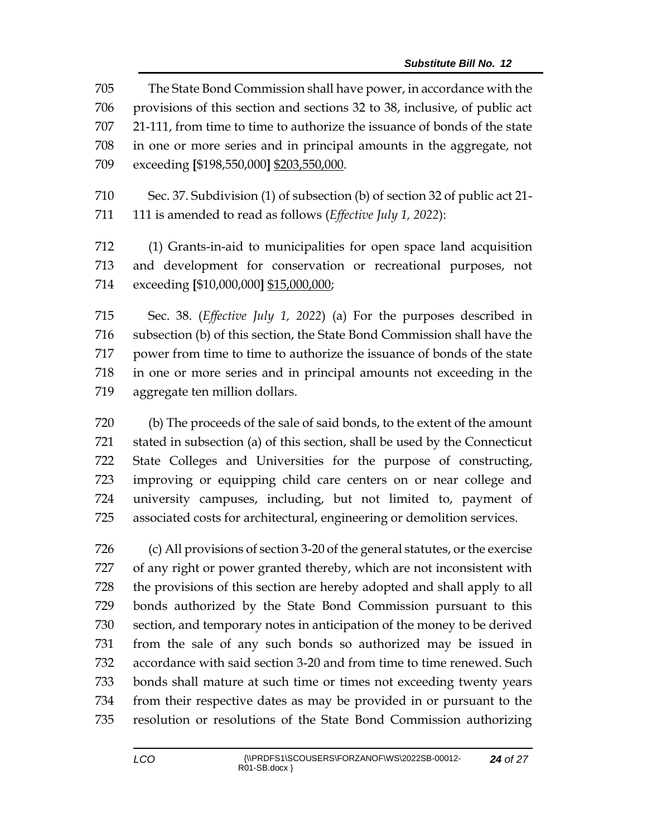The State Bond Commission shall have power, in accordance with the provisions of this section and sections 32 to 38, inclusive, of public act 21-111, from time to time to authorize the issuance of bonds of the state in one or more series and in principal amounts in the aggregate, not exceeding **[**\$198,550,000**]** \$203,550,000.

 Sec. 37. Subdivision (1) of subsection (b) of section 32 of public act 21- 111 is amended to read as follows (*Effective July 1, 2022*):

 (1) Grants-in-aid to municipalities for open space land acquisition and development for conservation or recreational purposes, not exceeding **[**\$10,000,000**]** \$15,000,000;

 Sec. 38. (*Effective July 1, 2022*) (a) For the purposes described in subsection (b) of this section, the State Bond Commission shall have the power from time to time to authorize the issuance of bonds of the state in one or more series and in principal amounts not exceeding in the aggregate ten million dollars.

 (b) The proceeds of the sale of said bonds, to the extent of the amount stated in subsection (a) of this section, shall be used by the Connecticut State Colleges and Universities for the purpose of constructing, improving or equipping child care centers on or near college and university campuses, including, but not limited to, payment of associated costs for architectural, engineering or demolition services.

 (c) All provisions of section 3-20 of the general statutes, or the exercise of any right or power granted thereby, which are not inconsistent with the provisions of this section are hereby adopted and shall apply to all bonds authorized by the State Bond Commission pursuant to this section, and temporary notes in anticipation of the money to be derived from the sale of any such bonds so authorized may be issued in accordance with said section 3-20 and from time to time renewed. Such bonds shall mature at such time or times not exceeding twenty years from their respective dates as may be provided in or pursuant to the resolution or resolutions of the State Bond Commission authorizing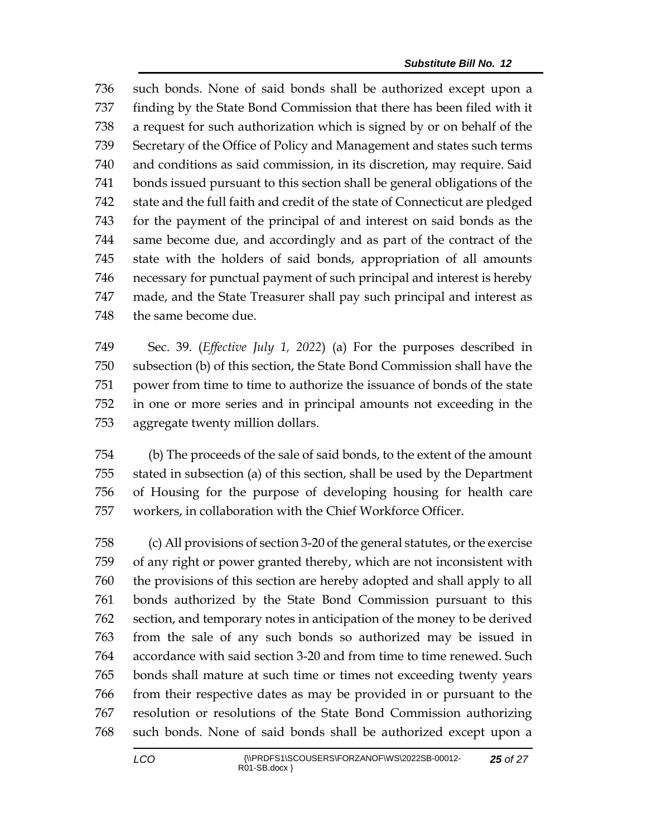such bonds. None of said bonds shall be authorized except upon a finding by the State Bond Commission that there has been filed with it a request for such authorization which is signed by or on behalf of the Secretary of the Office of Policy and Management and states such terms and conditions as said commission, in its discretion, may require. Said bonds issued pursuant to this section shall be general obligations of the state and the full faith and credit of the state of Connecticut are pledged for the payment of the principal of and interest on said bonds as the same become due, and accordingly and as part of the contract of the state with the holders of said bonds, appropriation of all amounts necessary for punctual payment of such principal and interest is hereby made, and the State Treasurer shall pay such principal and interest as 748 the same become due.

 Sec. 39. (*Effective July 1, 2022*) (a) For the purposes described in subsection (b) of this section, the State Bond Commission shall have the power from time to time to authorize the issuance of bonds of the state in one or more series and in principal amounts not exceeding in the aggregate twenty million dollars.

 (b) The proceeds of the sale of said bonds, to the extent of the amount stated in subsection (a) of this section, shall be used by the Department of Housing for the purpose of developing housing for health care workers, in collaboration with the Chief Workforce Officer.

 (c) All provisions of section 3-20 of the general statutes, or the exercise of any right or power granted thereby, which are not inconsistent with the provisions of this section are hereby adopted and shall apply to all bonds authorized by the State Bond Commission pursuant to this section, and temporary notes in anticipation of the money to be derived from the sale of any such bonds so authorized may be issued in accordance with said section 3-20 and from time to time renewed. Such bonds shall mature at such time or times not exceeding twenty years from their respective dates as may be provided in or pursuant to the resolution or resolutions of the State Bond Commission authorizing such bonds. None of said bonds shall be authorized except upon a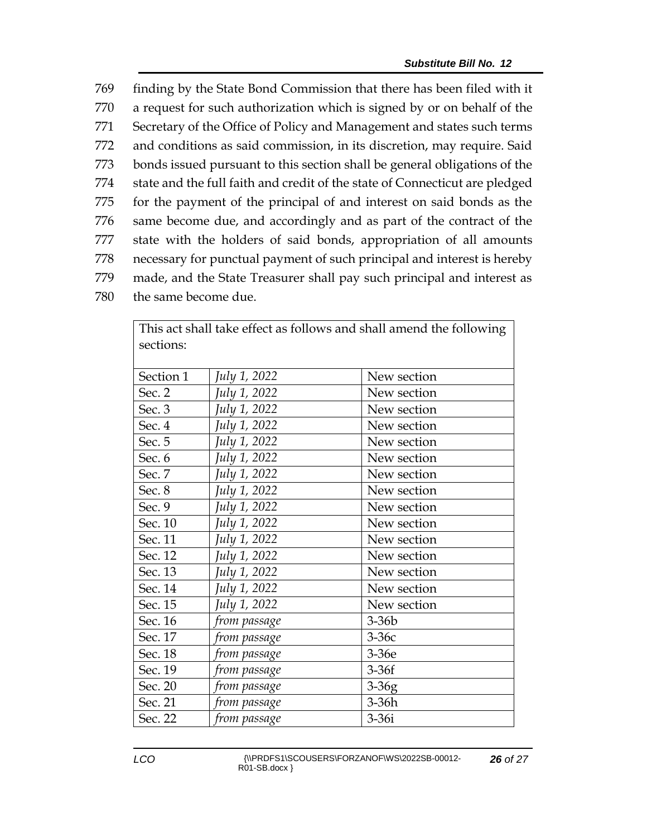finding by the State Bond Commission that there has been filed with it a request for such authorization which is signed by or on behalf of the Secretary of the Office of Policy and Management and states such terms and conditions as said commission, in its discretion, may require. Said bonds issued pursuant to this section shall be general obligations of the state and the full faith and credit of the state of Connecticut are pledged for the payment of the principal of and interest on said bonds as the same become due, and accordingly and as part of the contract of the state with the holders of said bonds, appropriation of all amounts necessary for punctual payment of such principal and interest is hereby made, and the State Treasurer shall pay such principal and interest as the same become due.

| This act shall take client as follows and shall alliend the following<br>sections: |              |             |  |  |  |
|------------------------------------------------------------------------------------|--------------|-------------|--|--|--|
| Section 1                                                                          | July 1, 2022 | New section |  |  |  |
| Sec. 2                                                                             | July 1, 2022 | New section |  |  |  |
| Sec. 3                                                                             | July 1, 2022 | New section |  |  |  |
| Sec. 4                                                                             | July 1, 2022 | New section |  |  |  |
| Sec. 5                                                                             | July 1, 2022 | New section |  |  |  |
| Sec. 6                                                                             | July 1, 2022 | New section |  |  |  |
| Sec. 7                                                                             | July 1, 2022 | New section |  |  |  |
| Sec. 8                                                                             | July 1, 2022 | New section |  |  |  |
| Sec. 9                                                                             | July 1, 2022 | New section |  |  |  |
| Sec. 10                                                                            | July 1, 2022 | New section |  |  |  |
| Sec. 11                                                                            | July 1, 2022 | New section |  |  |  |
| Sec. 12                                                                            | July 1, 2022 | New section |  |  |  |
| Sec. 13                                                                            | July 1, 2022 | New section |  |  |  |
| Sec. 14                                                                            | July 1, 2022 | New section |  |  |  |
| Sec. 15                                                                            | July 1, 2022 | New section |  |  |  |
| Sec. 16                                                                            | from passage | $3-36b$     |  |  |  |
| Sec. 17                                                                            | from passage | $3-36c$     |  |  |  |
| Sec. 18                                                                            | from passage | 3-36e       |  |  |  |
| Sec. 19                                                                            | from passage | $3-36f$     |  |  |  |
| Sec. 20                                                                            | from passage | $3-36g$     |  |  |  |
| Sec. 21                                                                            | from passage | 3-36h       |  |  |  |
| Sec. 22                                                                            | from passage | $3-36i$     |  |  |  |

This act shall take effect as follows and shall amend the following